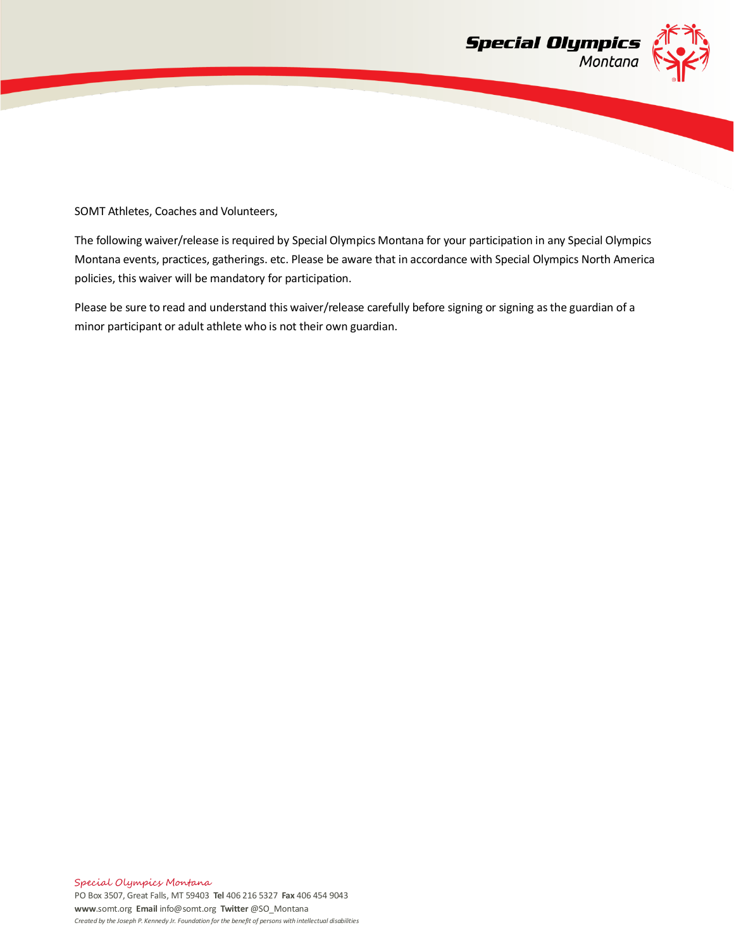

SOMT Athletes, Coaches and Volunteers,

The following waiver/release is required by Special Olympics Montana for your participation in any Special Olympics Montana events, practices, gatherings. etc. Please be aware that in accordance with Special Olympics North America policies, this waiver will be mandatory for participation.

Please be sure to read and understand this waiver/release carefully before signing or signing as the guardian of a minor participant or adult athlete who is not their own guardian.